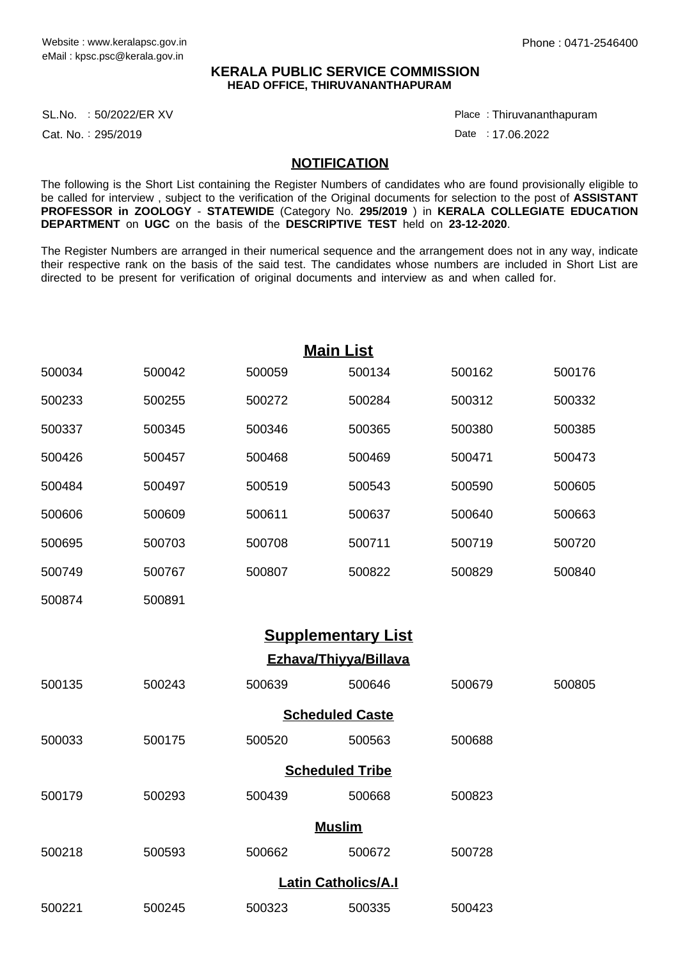## **KERALA PUBLIC SERVICE COMMISSION HEAD OFFICE, THIRUVANANTHAPURAM**

SL.No. :50/2022/ER XV Place

Cat. No.: 295/2019

Thiruvananthapuram :

Date : 17.06.2022

## **NOTIFICATION**

The following is the Short List containing the Register Numbers of candidates who are found provisionally eligible to be called for interview , subject to the verification of the Original documents for selection to the post of **ASSISTANT PROFESSOR in ZOOLOGY** - **STATEWIDE** (Category No. **295/2019** ) in **KERALA COLLEGIATE EDUCATION DEPARTMENT** on **UGC** on the basis of the **DESCRIPTIVE TEST** held on **23-12-2020**.

The Register Numbers are arranged in their numerical sequence and the arrangement does not in any way, indicate their respective rank on the basis of the said test. The candidates whose numbers are included in Short List are directed to be present for verification of original documents and interview as and when called for.

| <b>Main List</b>       |        |        |                           |        |  |  |  |  |
|------------------------|--------|--------|---------------------------|--------|--|--|--|--|
| 500042                 | 500059 | 500134 | 500162                    | 500176 |  |  |  |  |
| 500255                 | 500272 | 500284 | 500312                    | 500332 |  |  |  |  |
| 500345                 | 500346 | 500365 | 500380                    | 500385 |  |  |  |  |
| 500457                 | 500468 | 500469 | 500471                    | 500473 |  |  |  |  |
| 500497                 | 500519 | 500543 | 500590                    | 500605 |  |  |  |  |
| 500609                 | 500611 | 500637 | 500640                    | 500663 |  |  |  |  |
| 500703                 | 500708 | 500711 | 500719                    | 500720 |  |  |  |  |
| 500767                 | 500807 | 500822 | 500829                    | 500840 |  |  |  |  |
| 500891                 |        |        |                           |        |  |  |  |  |
|                        |        |        |                           |        |  |  |  |  |
| Ezhava/Thiyya/Billava  |        |        |                           |        |  |  |  |  |
| 500243                 | 500639 | 500646 | 500679                    | 500805 |  |  |  |  |
| <b>Scheduled Caste</b> |        |        |                           |        |  |  |  |  |
| 500175                 | 500520 | 500563 | 500688                    |        |  |  |  |  |
| <b>Scheduled Tribe</b> |        |        |                           |        |  |  |  |  |
| 500293                 | 500439 | 500668 | 500823                    |        |  |  |  |  |
| <b>Muslim</b>          |        |        |                           |        |  |  |  |  |
|                        |        |        |                           |        |  |  |  |  |
|                        |        |        | <b>Supplementary List</b> |        |  |  |  |  |

**Latin Catholics/A.I**

500221 500245 500323 500335 500423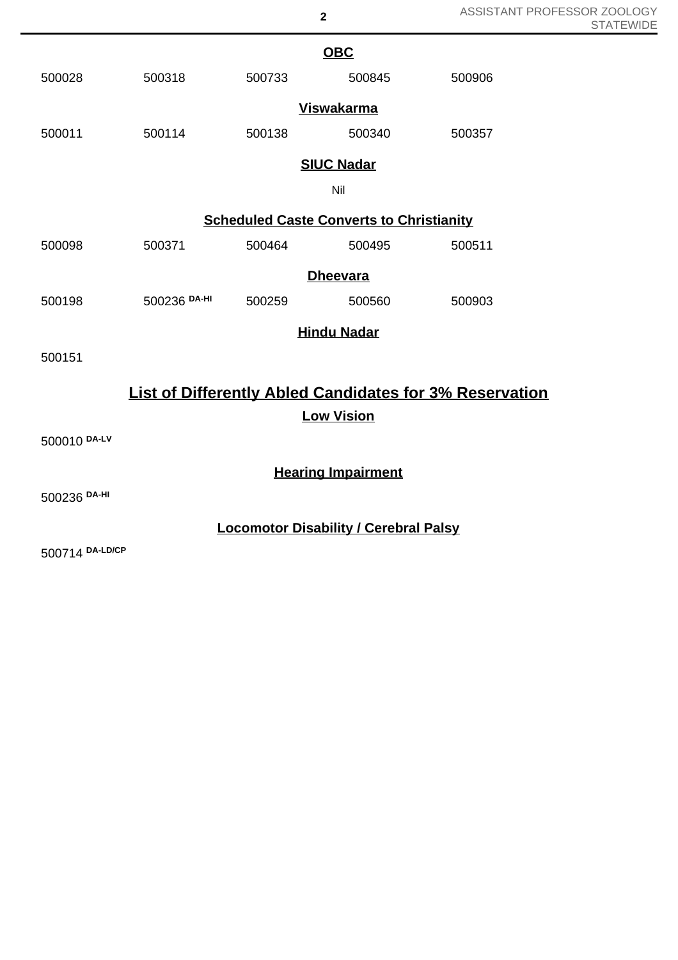| ASSISTANT PROFESSOR ZOOLOGY |
|-----------------------------|
| <b>STATEWIDE</b>            |

|                                                                | <b>OBC</b>                                      |        |                    |        |  |  |  |  |
|----------------------------------------------------------------|-------------------------------------------------|--------|--------------------|--------|--|--|--|--|
| 500028                                                         | 500318                                          | 500733 | 500845             | 500906 |  |  |  |  |
|                                                                |                                                 |        | <b>Viswakarma</b>  |        |  |  |  |  |
| 500011                                                         | 500114                                          | 500138 | 500340             | 500357 |  |  |  |  |
|                                                                | <b>SIUC Nadar</b>                               |        |                    |        |  |  |  |  |
|                                                                | Nil                                             |        |                    |        |  |  |  |  |
|                                                                | <b>Scheduled Caste Converts to Christianity</b> |        |                    |        |  |  |  |  |
| 500098                                                         | 500371                                          | 500464 | 500495             | 500511 |  |  |  |  |
|                                                                |                                                 |        | <b>Dheevara</b>    |        |  |  |  |  |
| 500198                                                         | 500236 DA-HI                                    | 500259 | 500560             | 500903 |  |  |  |  |
|                                                                |                                                 |        | <b>Hindu Nadar</b> |        |  |  |  |  |
| 500151                                                         |                                                 |        |                    |        |  |  |  |  |
| <b>List of Differently Abled Candidates for 3% Reservation</b> |                                                 |        |                    |        |  |  |  |  |
|                                                                | <b>Low Vision</b>                               |        |                    |        |  |  |  |  |
| 500010 DA-LV                                                   |                                                 |        |                    |        |  |  |  |  |
|                                                                | <b>Hearing Impairment</b>                       |        |                    |        |  |  |  |  |
| 500236 DA-HI                                                   |                                                 |        |                    |        |  |  |  |  |
| <b>Locomotor Disability / Cerebral Palsy</b>                   |                                                 |        |                    |        |  |  |  |  |

**2**

500714 **DA-LD/CP**